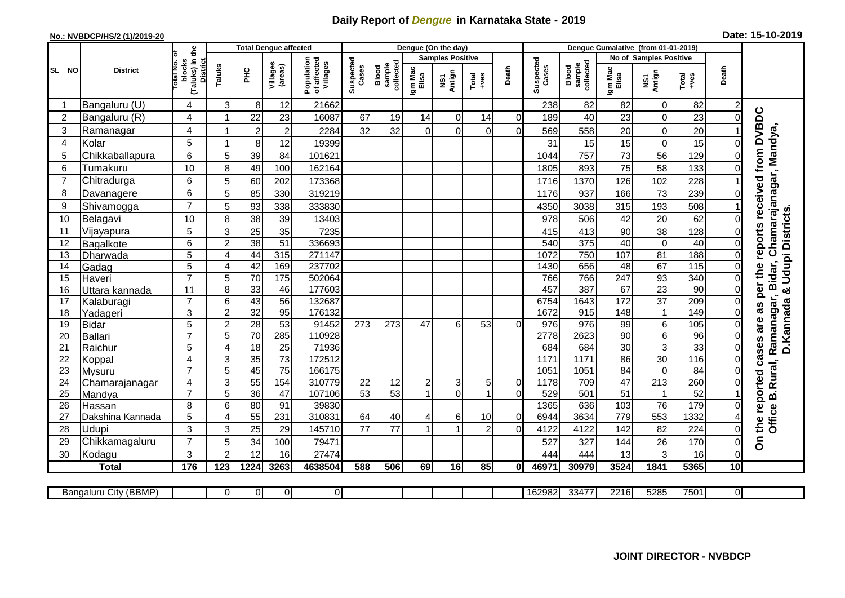## **Daily Report of** *Dengue* **in Karnataka State - 2019**

## **No.: NVBDCP/HS/2 (1)/2019-20 Date: 15-10-2019**

|                |                            |                                                   |                           | <b>Total Dengue affected</b> |                       |                                       |                       |                              |                  | Dengue (On the day)     |                  |                            |                    |                              |                         |                                 |                 |                |                                           |
|----------------|----------------------------|---------------------------------------------------|---------------------------|------------------------------|-----------------------|---------------------------------------|-----------------------|------------------------------|------------------|-------------------------|------------------|----------------------------|--------------------|------------------------------|-------------------------|---------------------------------|-----------------|----------------|-------------------------------------------|
|                |                            | ō                                                 |                           |                              |                       |                                       |                       |                              |                  | <b>Samples Positive</b> |                  |                            |                    |                              |                         | <b>No of Samples Positive</b>   |                 |                |                                           |
| SL NO          | <b>District</b>            | (Taluks) in the<br>District<br>otal No.<br>blocks | Taluks                    | ΞÉ                           | Villages<br>(areas)   | Population<br>of affected<br>Villages | Suspected<br>Cases    | sample<br>collected<br>Blood | Igm Mac<br>Elisa | NS1<br>Antign           | $Tota$<br>$+ves$ | Death                      | Suspected<br>Cases | collected<br>sample<br>Blood | Igm Mac<br>Elisa        | NS1<br>Antign                   | Total<br>+ves   | Death          |                                           |
| -1             | Bangaluru (U)              | 4                                                 | 3                         | 8                            | 12                    | 21662                                 |                       |                              |                  |                         |                  |                            | 238                | 82                           | 82                      | 0                               | 82              | $\overline{2}$ |                                           |
| $\overline{c}$ | Bangaluru (R)              | 4                                                 |                           | 22                           | 23                    | 16087                                 | 67                    | 19                           | 14               | 0                       | 14               | $\overline{0}$             | 189                | 40                           | 23                      | $\mathbf 0$                     | 23              | 0              |                                           |
| 3              | Ramanagar                  | 4                                                 |                           | $\overline{2}$               | $\overline{2}$        | 2284                                  | 32                    | 32                           | $\Omega$         | $\Omega$                | $\Omega$         | $\Omega$                   | 569                | 558                          | 20                      | 0                               | 20              |                | reports received from DVBDC               |
| 4              | Kolar                      | 5                                                 |                           | 8                            | 12                    | 19399                                 |                       |                              |                  |                         |                  |                            | 31                 | 15                           | 15                      | 0                               | 15              | 0              |                                           |
| 5              | Chikkaballapura            | 6                                                 | 5                         | 39                           | 84                    | 101621                                |                       |                              |                  |                         |                  |                            | 1044               | 757                          | 73                      | 56                              | 129             | $\Omega$       |                                           |
| 6              | Tumakuru                   | 10                                                | 8                         | 49                           | 100                   | 162164                                |                       |                              |                  |                         |                  |                            | 1805               | 893                          | 75                      | 58                              | 133             | $\overline{0}$ |                                           |
| $\overline{7}$ | Chitradurga                | 6                                                 | 5                         | 60                           | 202                   | 173368                                |                       |                              |                  |                         |                  |                            | 1716               | 1370                         | 126                     | 102                             | 228             |                |                                           |
| 8              | Davanagere                 | 6                                                 | 5                         | 85                           | 330                   | 319219                                |                       |                              |                  |                         |                  |                            | 1176               | 937                          | 166                     | 73                              | 239             | $\Omega$       |                                           |
| 9              | Shivamogga                 | $\overline{7}$                                    | 5                         | 93                           | 338                   | 333830                                |                       |                              |                  |                         |                  |                            | 4350               | 3038                         | 315                     | 193                             | 508             |                | Ramanagar, Bidar, Chamarajanagar, Mandya, |
| 10             | Belagavi                   | 10                                                | 8                         | 38                           | 39                    | 13403                                 |                       |                              |                  |                         |                  |                            | 978                | 506                          | 42                      | 20                              | 62              | $\Omega$       | & Udupi Districts.                        |
| 11             | Vijayapura                 | 5                                                 | 3                         | 25                           | 35                    | 7235                                  |                       |                              |                  |                         |                  |                            | 415                | 413                          | 90                      | 38                              | 128             | $\Omega$       |                                           |
| 12             | Bagalkote                  | $6\phantom{1}$                                    | $\overline{c}$            | 38                           | $\overline{51}$       | 336693                                |                       |                              |                  |                         |                  |                            | 540                | 375                          | $\overline{40}$         | $\mathbf 0$                     | 40              | 0              |                                           |
| 13             | Dharwada                   | $\overline{5}$                                    | 4                         | 44                           | 315                   | 271147                                |                       |                              |                  |                         |                  |                            | 1072               | 750                          | 107                     | $\overline{81}$                 | 188             | $\mathbf 0$    |                                           |
| 14             | Gadag                      | $\overline{5}$                                    | 4                         | 42                           | 169                   | 237702                                |                       |                              |                  |                         |                  |                            | 1430               | 656                          | 48                      | 67                              | 115             | 0              |                                           |
| 15             | Haveri                     | $\overline{7}$                                    | 5                         | 70                           | 175                   | 502064                                |                       |                              |                  |                         |                  |                            | 766                | 766                          | 247                     | 93                              | 340             | $\overline{0}$ | per the                                   |
| 16             | Uttara kannada             | 11                                                | 8                         | 33                           | 46                    | 177603                                |                       |                              |                  |                         |                  |                            | 457                | 387                          | 67                      | $\overline{23}$                 | $\overline{90}$ | 0              |                                           |
| 17             | Kalaburagi                 | $\overline{7}$                                    | $\,6$                     | $\overline{43}$              | $\overline{56}$       | 132687                                |                       |                              |                  |                         |                  |                            | 6754               | 1643                         | $\overline{172}$        | $\overline{37}$                 | 209             | $\Omega$       | as                                        |
| 18             | Yadageri                   | 3                                                 | $\boldsymbol{2}$          | 32                           | 95                    | 176132                                |                       |                              |                  |                         |                  |                            | 1672               | 915                          | 148                     | $\mathbf{1}$                    | 149             | $\Omega$       |                                           |
| 19             | <b>Bidar</b>               | 5                                                 | $\overline{2}$            | 28                           | 53                    | 91452                                 | 273                   | 273                          | 47               | 6                       | 53               | $\Omega$                   | 976                | $\overline{976}$             | 99                      | 6                               | 105             | $\Omega$       | are                                       |
| 20             | <b>Ballari</b>             | $\overline{7}$                                    | 5                         | 70                           | 285                   | 110928                                |                       |                              |                  |                         |                  |                            | 2778               | 2623                         | $\overline{90}$         | 6                               | 96              | $\Omega$       | D.Kannada                                 |
| 21             | Raichur                    | 5                                                 | 4                         | 18                           | $\overline{25}$       | 71936                                 |                       |                              |                  |                         |                  |                            | 684                | 684                          | 30                      | $\overline{3}$                  | 33              | 0              | cases                                     |
| 22             | Koppal                     | $\overline{4}$                                    | 3                         | 35                           | $\overline{73}$       | 172512                                |                       |                              |                  |                         |                  |                            | 1171               | 1171                         | $\overline{86}$         | 30                              | 116             | $\mathbf 0$    |                                           |
| 23             | Mysuru                     | $\overline{7}$                                    | 5                         | $\overline{45}$              | $\overline{75}$       | 166175                                |                       |                              |                  |                         |                  |                            | 1051               | 1051                         | 84                      | $\mathbf 0$                     | $\overline{84}$ | 0              |                                           |
| 24             | Chamarajanagar             | $\overline{4}$<br>$\overline{7}$                  | $\overline{3}$            | 55                           | 154                   | 310779<br>107106                      | 22<br>$\overline{53}$ | 12<br>53                     | $\overline{c}$   | 3<br>$\Omega$           | 5 <sup>1</sup>   | $\overline{0}$<br>$\Omega$ | 1178               | 709                          | 47<br>51                | 213                             | 260<br>52       | $\mathbf 0$    |                                           |
| 25<br>26       | Mandya                     | 8                                                 | $\overline{5}$<br>$\,6$   | $\overline{36}$<br>80        | $\overline{47}$<br>91 | 39830                                 |                       |                              |                  |                         |                  |                            | 529<br>1365        | 501<br>636                   |                         | $\mathbf{1}$<br>$\overline{76}$ | 179             |                |                                           |
| 27             | Hassan<br>Dakshina Kannada | 5                                                 | 4                         | $\overline{55}$              | 231                   | 310831                                | 64                    | 40                           |                  | 6                       | 10               | $\Omega$                   | 6944               | 3634                         | 103<br>$\overline{779}$ | 553                             | 1332            | 0<br>4         |                                           |
| 28             | Udupi                      | 3                                                 | $\ensuremath{\mathsf{3}}$ | 25                           | 29                    | 145710                                | 77                    | 77                           |                  |                         | $\overline{2}$   | $\Omega$                   | 4122               | 4122                         | 142                     | 82                              | 224             | 0              | Office B.Rural,<br>the reported           |
| 29             | Chikkamagaluru             | $\overline{7}$                                    | 5                         | 34                           | 100                   | 79471                                 |                       |                              |                  |                         |                  |                            | 527                | 327                          | 144                     | 26                              | 170             | $\Omega$       | င်္                                       |
| 30             | Kodagu                     | 3                                                 | $\overline{2}$            | 12                           | 16                    | 27474                                 |                       |                              |                  |                         |                  |                            | 444                | 444                          | 13                      | 3                               | 16              | 0              |                                           |
|                | <b>Total</b>               | 176                                               | 123                       | 1224                         | 3263                  | 4638504                               | 588                   | 506                          | 69               | 16                      | 85               | $\mathbf{0}$               | 46971              | 30979                        | 3524                    | 1841                            | 5365            | 10             |                                           |
|                |                            |                                                   |                           |                              |                       |                                       |                       |                              |                  |                         |                  |                            |                    |                              |                         |                                 |                 |                |                                           |
|                | Bangaluru City (BBMP)      |                                                   | $\Omega$                  | $\mathbf 0$                  | οI                    | $\overline{0}$                        |                       |                              |                  |                         |                  |                            | 162982             | 33477                        | 2216                    | 5285                            | 7501            | οI             |                                           |